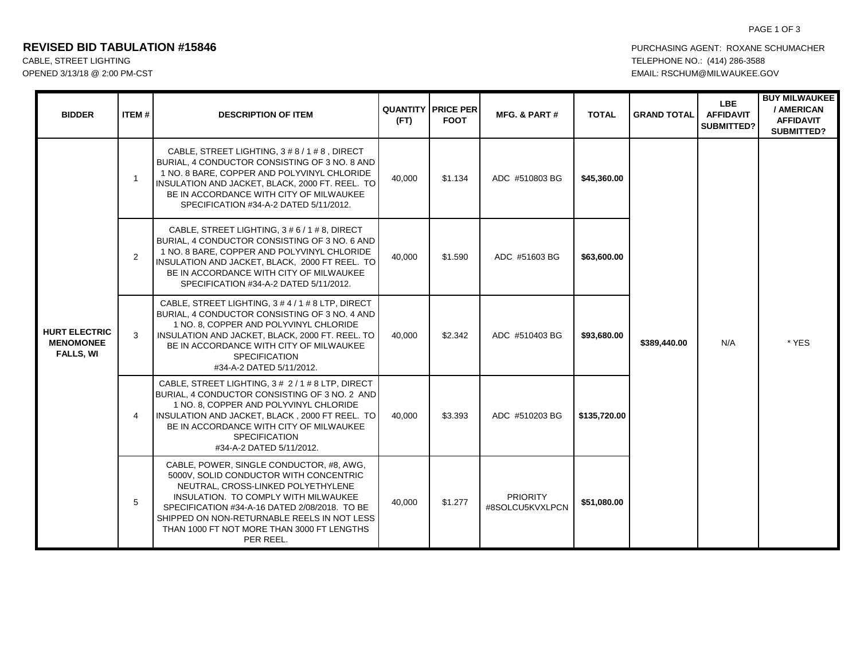## **REVISED BID TABULATION #15846 PURCHASING AGENT: ROXANE SCHUMACHER**

# CABLE, STREET LIGHTING TELEPHONE NO.: (414) 286-3588 OPENED 3/13/18 @ 2:00 PM-CST CONTROLL RESCHUM@MILWAUKEE.GOV

| <b>BIDDER</b>                                                | ITEM#          | <b>DESCRIPTION OF ITEM</b>                                                                                                                                                                                                                                                                                                  | (FT)   | <b>QUANTITY   PRICE PER</b><br><b>FOOT</b> | <b>MFG. &amp; PART#</b>            | <b>TOTAL</b> | <b>GRAND TOTAL</b> | LBE.<br><b>AFFIDAVIT</b><br><b>SUBMITTED?</b> | <b>BUY MILWAUKEE</b><br>/ AMERICAN<br><b>AFFIDAVIT</b><br><b>SUBMITTED?</b> |
|--------------------------------------------------------------|----------------|-----------------------------------------------------------------------------------------------------------------------------------------------------------------------------------------------------------------------------------------------------------------------------------------------------------------------------|--------|--------------------------------------------|------------------------------------|--------------|--------------------|-----------------------------------------------|-----------------------------------------------------------------------------|
| <b>HURT ELECTRIC</b><br><b>MENOMONEE</b><br><b>FALLS, WI</b> | $\overline{1}$ | CABLE, STREET LIGHTING, 3 # 8 / 1 # 8, DIRECT<br>BURIAL, 4 CONDUCTOR CONSISTING OF 3 NO. 8 AND<br>1 NO. 8 BARE, COPPER AND POLYVINYL CHLORIDE<br>INSULATION AND JACKET, BLACK, 2000 FT. REEL. TO<br>BE IN ACCORDANCE WITH CITY OF MILWAUKEE<br>SPECIFICATION #34-A-2 DATED 5/11/2012.                                       | 40,000 | \$1.134                                    | ADC #510803 BG                     | \$45,360.00  | \$389,440.00       | N/A                                           | * YES                                                                       |
|                                                              | 2              | CABLE, STREET LIGHTING, 3 # 6 / 1 # 8, DIRECT<br>BURIAL, 4 CONDUCTOR CONSISTING OF 3 NO. 6 AND<br>1 NO. 8 BARE, COPPER AND POLYVINYL CHLORIDE<br>INSULATION AND JACKET, BLACK, 2000 FT REEL. TO<br>BE IN ACCORDANCE WITH CITY OF MILWAUKEE<br>SPECIFICATION #34-A-2 DATED 5/11/2012.                                        | 40,000 | \$1.590                                    | ADC #51603 BG                      | \$63,600.00  |                    |                                               |                                                                             |
|                                                              | 3              | CABLE, STREET LIGHTING, 3 # 4 / 1 # 8 LTP, DIRECT<br>BURIAL, 4 CONDUCTOR CONSISTING OF 3 NO. 4 AND<br>1 NO. 8, COPPER AND POLYVINYL CHLORIDE<br>INSULATION AND JACKET, BLACK, 2000 FT. REEL. TO<br>BE IN ACCORDANCE WITH CITY OF MILWAUKEE<br><b>SPECIFICATION</b><br>#34-A-2 DATED 5/11/2012.                              | 40,000 | \$2.342                                    | ADC #510403 BG                     | \$93,680.00  |                    |                                               |                                                                             |
|                                                              | $\overline{4}$ | CABLE, STREET LIGHTING, 3 # 2 / 1 # 8 LTP, DIRECT<br>BURIAL, 4 CONDUCTOR CONSISTING OF 3 NO. 2 AND<br>1 NO. 8, COPPER AND POLYVINYL CHLORIDE<br>INSULATION AND JACKET, BLACK, 2000 FT REEL. TO<br>BE IN ACCORDANCE WITH CITY OF MILWAUKEE<br><b>SPECIFICATION</b><br>#34-A-2 DATED 5/11/2012.                               | 40,000 | \$3.393                                    | ADC #510203 BG                     | \$135,720.00 |                    |                                               |                                                                             |
|                                                              | 5              | CABLE, POWER, SINGLE CONDUCTOR, #8, AWG,<br>5000V. SOLID CONDUCTOR WITH CONCENTRIC<br>NEUTRAL, CROSS-LINKED POLYETHYLENE<br>INSULATION. TO COMPLY WITH MILWAUKEE<br>SPECIFICATION #34-A-16 DATED 2/08/2018. TO BE<br>SHIPPED ON NON-RETURNABLE REELS IN NOT LESS<br>THAN 1000 FT NOT MORE THAN 3000 FT LENGTHS<br>PER REEL. | 40,000 | \$1.277                                    | <b>PRIORITY</b><br>#8SOLCU5KVXLPCN | \$51,080.00  |                    |                                               |                                                                             |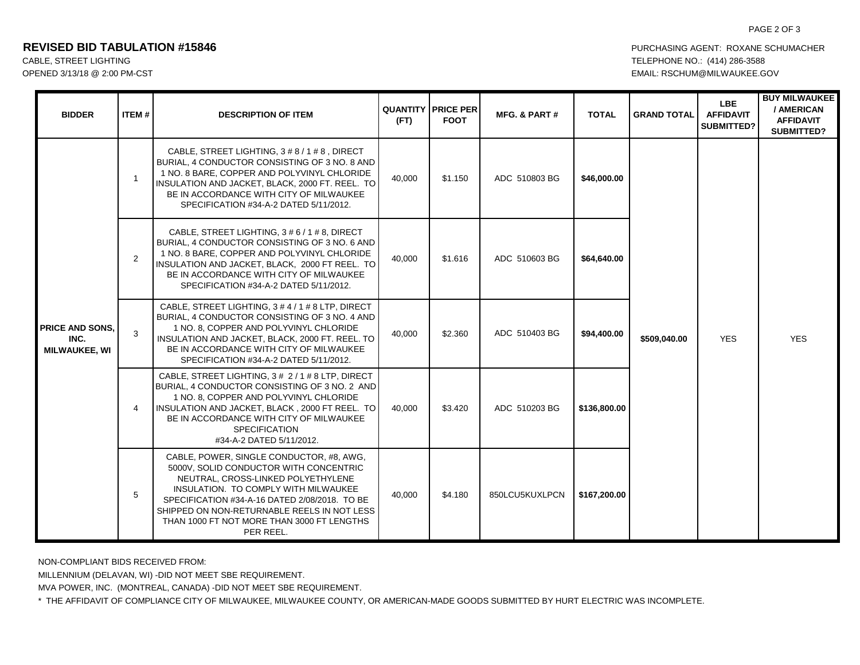### **REVISED BID TABULATION #15846 PURCHASING AGENT: ROXANE SCHUMACHER**

## CABLE, STREET LIGHTING TELEPHONE NO.: (414) 286-3588 OPENED 3/13/18 @ 2:00 PM-CST EMAIL: RSCHUM@MILWAUKEE.GOV

| <b>BIDDER</b>                                          | ITEM#          | <b>DESCRIPTION OF ITEM</b>                                                                                                                                                                                                                                                                                                  | (FT)   | <b>QUANTITY PRICE PER</b><br><b>FOOT</b> | <b>MFG. &amp; PART#</b> | <b>TOTAL</b> | <b>GRAND TOTAL</b> | <b>LBE</b><br><b>AFFIDAVIT</b><br><b>SUBMITTED?</b> | <b>BUY MILWAUKEE</b><br>/ AMERICAN<br><b>AFFIDAVIT</b><br><b>SUBMITTED?</b> |
|--------------------------------------------------------|----------------|-----------------------------------------------------------------------------------------------------------------------------------------------------------------------------------------------------------------------------------------------------------------------------------------------------------------------------|--------|------------------------------------------|-------------------------|--------------|--------------------|-----------------------------------------------------|-----------------------------------------------------------------------------|
| <b>PRICE AND SONS.</b><br>INC.<br><b>MILWAUKEE, WI</b> | $\overline{1}$ | CABLE, STREET LIGHTING, 3 # 8 / 1 # 8, DIRECT<br>BURIAL, 4 CONDUCTOR CONSISTING OF 3 NO. 8 AND<br>1 NO. 8 BARE, COPPER AND POLYVINYL CHLORIDE<br>INSULATION AND JACKET, BLACK, 2000 FT. REEL. TO<br>BE IN ACCORDANCE WITH CITY OF MILWAUKEE<br>SPECIFICATION #34-A-2 DATED 5/11/2012.                                       | 40.000 | \$1.150                                  | ADC 510803 BG           | \$46,000.00  | \$509,040.00       | <b>YES</b>                                          | <b>YES</b>                                                                  |
|                                                        | $\overline{2}$ | CABLE, STREET LIGHTING, 3 # 6 / 1 # 8, DIRECT<br>BURIAL, 4 CONDUCTOR CONSISTING OF 3 NO. 6 AND<br>1 NO. 8 BARE, COPPER AND POLYVINYL CHLORIDE<br>INSULATION AND JACKET, BLACK, 2000 FT REEL. TO<br>BE IN ACCORDANCE WITH CITY OF MILWAUKEE<br>SPECIFICATION #34-A-2 DATED 5/11/2012.                                        | 40,000 | \$1.616                                  | ADC 510603 BG           | \$64,640.00  |                    |                                                     |                                                                             |
|                                                        | 3              | CABLE, STREET LIGHTING, 3 # 4 / 1 # 8 LTP, DIRECT<br>BURIAL, 4 CONDUCTOR CONSISTING OF 3 NO. 4 AND<br>1 NO. 8, COPPER AND POLYVINYL CHLORIDE<br>INSULATION AND JACKET, BLACK, 2000 FT. REEL. TO<br>BE IN ACCORDANCE WITH CITY OF MILWAUKEE<br>SPECIFICATION #34-A-2 DATED 5/11/2012.                                        | 40,000 | \$2.360                                  | ADC 510403 BG           | \$94,400.00  |                    |                                                     |                                                                             |
|                                                        | $\overline{4}$ | CABLE, STREET LIGHTING, 3 # 2 / 1 # 8 LTP, DIRECT<br>BURIAL, 4 CONDUCTOR CONSISTING OF 3 NO. 2 AND<br>1 NO. 8. COPPER AND POLYVINYL CHLORIDE<br>INSULATION AND JACKET, BLACK, 2000 FT REEL. TO<br>BE IN ACCORDANCE WITH CITY OF MILWAUKEE<br><b>SPECIFICATION</b><br>#34-A-2 DATED 5/11/2012.                               | 40,000 | \$3.420                                  | ADC 510203 BG           | \$136,800.00 |                    |                                                     |                                                                             |
|                                                        | 5              | CABLE, POWER, SINGLE CONDUCTOR, #8, AWG,<br>5000V, SOLID CONDUCTOR WITH CONCENTRIC<br>NEUTRAL, CROSS-LINKED POLYETHYLENE<br>INSULATION. TO COMPLY WITH MILWAUKEE<br>SPECIFICATION #34-A-16 DATED 2/08/2018. TO BE<br>SHIPPED ON NON-RETURNABLE REELS IN NOT LESS<br>THAN 1000 FT NOT MORE THAN 3000 FT LENGTHS<br>PER REEL. | 40,000 | \$4.180                                  | 850LCU5KUXLPCN          | \$167,200.00 |                    |                                                     |                                                                             |

NON-COMPLIANT BIDS RECEIVED FROM:

MILLENNIUM (DELAVAN, WI) -DID NOT MEET SBE REQUIREMENT.

MVA POWER, INC. (MONTREAL, CANADA) -DID NOT MEET SBE REQUIREMENT.

\* THE AFFIDAVIT OF COMPLIANCE CITY OF MILWAUKEE, MILWAUKEE COUNTY, OR AMERICAN-MADE GOODS SUBMITTED BY HURT ELECTRIC WAS INCOMPLETE.